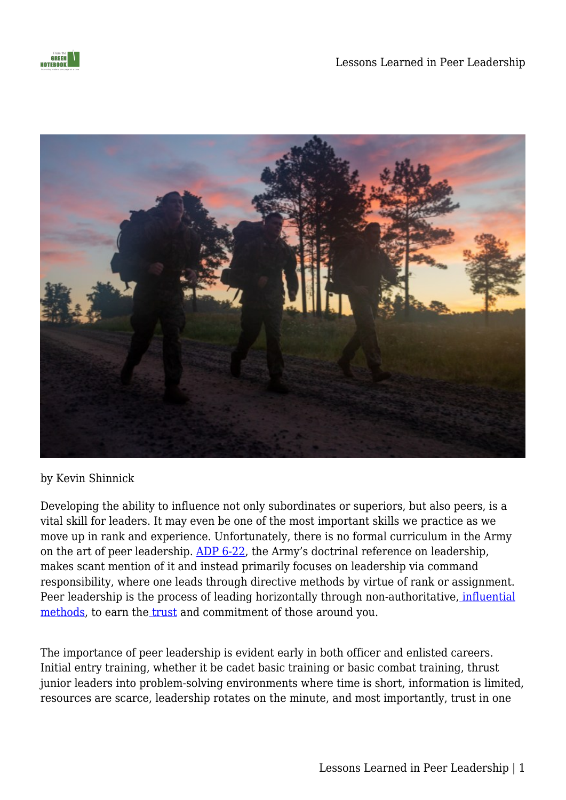

#### by Kevin Shinnick

Developing the ability to influence not only subordinates or superiors, but also peers, is a vital skill for leaders. It may even be one of the most important skills we practice as we move up in rank and experience. Unfortunately, there is no formal curriculum in the Army on the art of peer leadership. [ADP 6-22,](https://armypubs.army.mil/epubs/DR_pubs/DR_a/pdf/web/ARN20039_ADP%206-22%20C1%20FINAL%20WEB.pdf) the Army's doctrinal reference on leadership, makes scant mention of it and instead primarily focuses on leadership via command responsibility, where one leads through directive methods by virtue of rank or assignment. Peer leadership is the process of leading horizontally through non-authoritative[,](https://www.forbes.com/sites/forbestechcouncil/2019/10/04/how-do-you-build-referent-power-leaders-in-your-business/?sh=66e594fc7a36) [influential](https://www.forbes.com/sites/forbestechcouncil/2019/10/04/how-do-you-build-referent-power-leaders-in-your-business/?sh=66e594fc7a36) [methods](https://www.forbes.com/sites/forbestechcouncil/2019/10/04/how-do-you-build-referent-power-leaders-in-your-business/?sh=66e594fc7a36), to earn the *[trust](https://mwi.usma.edu/on-trust-and-leadership/)* and commitment of those around you.

The importance of peer leadership is evident early in both officer and enlisted careers. Initial entry training, whether it be cadet basic training or basic combat training, thrust junior leaders into problem-solving environments where time is short, information is limited, resources are scarce, leadership rotates on the minute, and most importantly, trust in one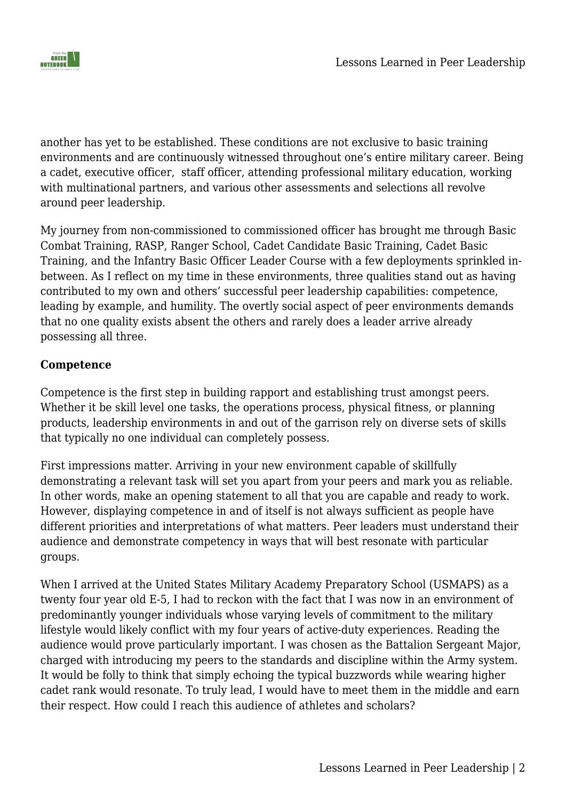

another has yet to be established. These conditions are not exclusive to basic training environments and are continuously witnessed throughout one's entire military career. Being a cadet, executive officer, staff officer, attending professional military education, working with multinational partners, and various other assessments and selections all revolve around peer leadership.

My journey from non-commissioned to commissioned officer has brought me through Basic Combat Training, RASP, Ranger School, Cadet Candidate Basic Training, Cadet Basic Training, and the Infantry Basic Officer Leader Course with a few deployments sprinkled inbetween. As I reflect on my time in these environments, three qualities stand out as having contributed to my own and others' successful peer leadership capabilities: competence, leading by example, and humility. The overtly social aspect of peer environments demands that no one quality exists absent the others and rarely does a leader arrive already possessing all three.

### **Competence**

Competence is the first step in building rapport and establishing trust amongst peers. Whether it be skill level one tasks, the operations process, physical fitness, or planning products, leadership environments in and out of the garrison rely on diverse sets of skills that typically no one individual can completely possess.

First impressions matter. Arriving in your new environment capable of skillfully demonstrating a relevant task will set you apart from your peers and mark you as reliable. In other words, make an opening statement to all that you are capable and ready to work. However, displaying competence in and of itself is not always sufficient as people have different priorities and interpretations of what matters. Peer leaders must understand their audience and demonstrate competency in ways that will best resonate with particular groups.

When I arrived at the United States Military Academy Preparatory School (USMAPS) as a twenty four year old E-5, I had to reckon with the fact that I was now in an environment of predominantly younger individuals whose varying levels of commitment to the military lifestyle would likely conflict with my four years of active-duty experiences. Reading the audience would prove particularly important. I was chosen as the Battalion Sergeant Major, charged with introducing my peers to the standards and discipline within the Army system. It would be folly to think that simply echoing the typical buzzwords while wearing higher cadet rank would resonate. To truly lead, I would have to meet them in the middle and earn their respect. How could I reach this audience of athletes and scholars?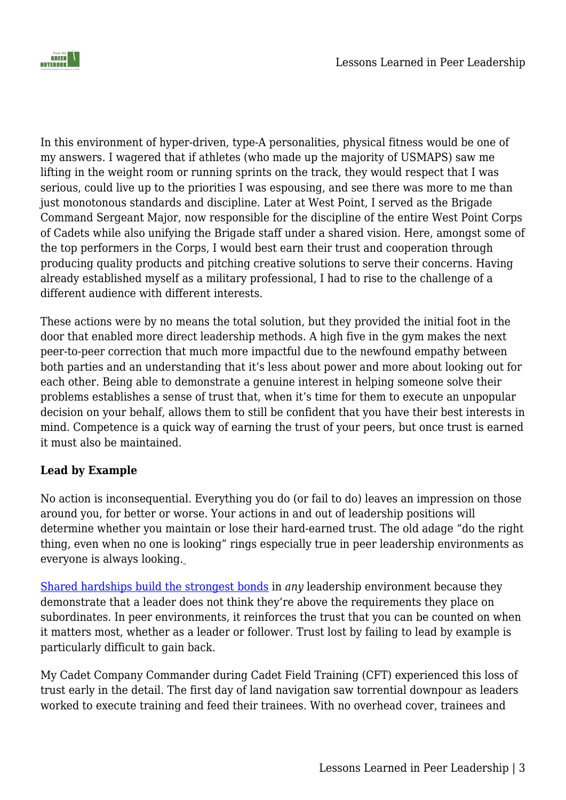

In this environment of hyper-driven, type-A personalities, physical fitness would be one of my answers. I wagered that if athletes (who made up the majority of USMAPS) saw me lifting in the weight room or running sprints on the track, they would respect that I was serious, could live up to the priorities I was espousing, and see there was more to me than just monotonous standards and discipline. Later at West Point, I served as the Brigade Command Sergeant Major, now responsible for the discipline of the entire West Point Corps of Cadets while also unifying the Brigade staff under a shared vision. Here, amongst some of the top performers in the Corps, I would best earn their trust and cooperation through producing quality products and pitching creative solutions to serve their concerns. Having already established myself as a military professional, I had to rise to the challenge of a different audience with different interests.

These actions were by no means the total solution, but they provided the initial foot in the door that enabled more direct leadership methods. A high five in the gym makes the next peer-to-peer correction that much more impactful due to the newfound empathy between both parties and an understanding that it's less about power and more about looking out for each other. Being able to demonstrate a genuine interest in helping someone solve their problems establishes a sense of trust that, when it's time for them to execute an unpopular decision on your behalf, allows them to still be confident that you have their best interests in mind. Competence is a quick way of earning the trust of your peers, but once trust is earned it must also be maintained.

## **Lead by Example**

No action is inconsequential. Everything you do (or fail to do) leaves an impression on those around you, for better or worse. Your actions in and out of leadership positions will determine whether you maintain or lose their hard-earned trust. The old adage "do the right thing, even when no one is looking" rings especially true in peer leadership environments as everyone is always looking.

[Shared hardships build the strongest bonds](https://companyleader.themilitaryleader.com/2021/01/01/platoon-leadership-demands-heroic-virtue/) in *any* leadership environment because they demonstrate that a leader does not think they're above the requirements they place on subordinates. In peer environments, it reinforces the trust that you can be counted on when it matters most, whether as a leader or follower. Trust lost by failing to lead by example is particularly difficult to gain back.

My Cadet Company Commander during Cadet Field Training (CFT) experienced this loss of trust early in the detail. The first day of land navigation saw torrential downpour as leaders worked to execute training and feed their trainees. With no overhead cover, trainees and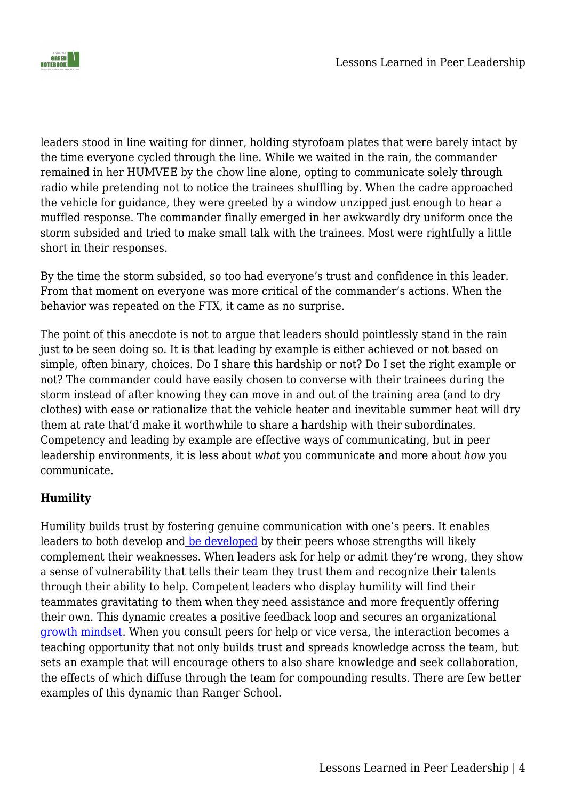

leaders stood in line waiting for dinner, holding styrofoam plates that were barely intact by the time everyone cycled through the line. While we waited in the rain, the commander remained in her HUMVEE by the chow line alone, opting to communicate solely through radio while pretending not to notice the trainees shuffling by. When the cadre approached the vehicle for guidance, they were greeted by a window unzipped just enough to hear a muffled response. The commander finally emerged in her awkwardly dry uniform once the storm subsided and tried to make small talk with the trainees. Most were rightfully a little short in their responses.

By the time the storm subsided, so too had everyone's trust and confidence in this leader. From that moment on everyone was more critical of the commander's actions. When the behavior was repeated on the FTX, it came as no surprise.

The point of this anecdote is not to argue that leaders should pointlessly stand in the rain just to be seen doing so. It is that leading by example is either achieved or not based on simple, often binary, choices. Do I share this hardship or not? Do I set the right example or not? The commander could have easily chosen to converse with their trainees during the storm instead of after knowing they can move in and out of the training area (and to dry clothes) with ease or rationalize that the vehicle heater and inevitable summer heat will dry them at rate that'd make it worthwhile to share a hardship with their subordinates. Competency and leading by example are effective ways of communicating, but in peer leadership environments, it is less about *what* you communicate and more about *how* you communicate.

## **Humility**

Humility builds trust by fostering genuine communication with one's peers. It enables leaders to both develop an[d](https://www.businessinsider.com/successful-leaders-have-peer-mentors-2016-3) [be developed](https://www.businessinsider.com/successful-leaders-have-peer-mentors-2016-3) by their peers whose strengths will likely complement their weaknesses. When leaders ask for help or admit they're wrong, they show a sense of vulnerability that tells their team they trust them and recognize their talents through their ability to help. Competent leaders who display humility will find their teammates gravitating to them when they need assistance and more frequently offering their own. This dynamic creates a positive feedback loop and secures an organizational [growth mindset.](https://www.forbes.com/sites/carolinecastrillon/2019/07/09/why-a-growth-mindset-is-essential-for-career-success/?sh=43ad843928b5) When you consult peers for help or vice versa, the interaction becomes a teaching opportunity that not only builds trust and spreads knowledge across the team, but sets an example that will encourage others to also share knowledge and seek collaboration, the effects of which diffuse through the team for compounding results. There are few better examples of this dynamic than Ranger School.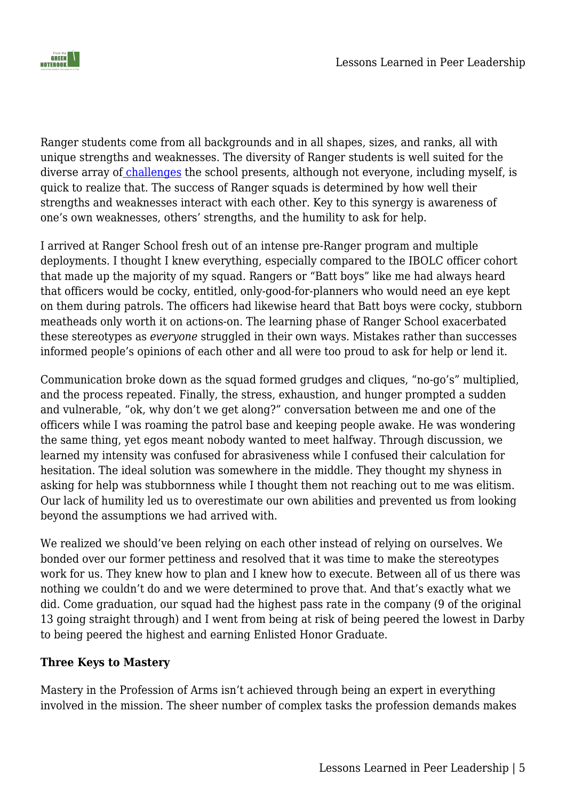

Ranger students come from all backgrounds and in all shapes, sizes, and ranks, all with unique strengths and weaknesses. The diversity of Ranger students is well suited for the diverse array of [challenges](https://mwi.usma.edu/challenge-ranger-school-can/) the school presents, although not everyone, including myself, is quick to realize that. The success of Ranger squads is determined by how well their strengths and weaknesses interact with each other. Key to this synergy is awareness of one's own weaknesses, others' strengths, and the humility to ask for help.

I arrived at Ranger School fresh out of an intense pre-Ranger program and multiple deployments. I thought I knew everything, especially compared to the IBOLC officer cohort that made up the majority of my squad. Rangers or "Batt boys" like me had always heard that officers would be cocky, entitled, only-good-for-planners who would need an eye kept on them during patrols. The officers had likewise heard that Batt boys were cocky, stubborn meatheads only worth it on actions-on. The learning phase of Ranger School exacerbated these stereotypes as *everyone* struggled in their own ways. Mistakes rather than successes informed people's opinions of each other and all were too proud to ask for help or lend it.

Communication broke down as the squad formed grudges and cliques, "no-go's" multiplied, and the process repeated. Finally, the stress, exhaustion, and hunger prompted a sudden and vulnerable, "ok, why don't we get along?" conversation between me and one of the officers while I was roaming the patrol base and keeping people awake. He was wondering the same thing, yet egos meant nobody wanted to meet halfway. Through discussion, we learned my intensity was confused for abrasiveness while I confused their calculation for hesitation. The ideal solution was somewhere in the middle. They thought my shyness in asking for help was stubbornness while I thought them not reaching out to me was elitism. Our lack of humility led us to overestimate our own abilities and prevented us from looking beyond the assumptions we had arrived with.

We realized we should've been relying on each other instead of relying on ourselves. We bonded over our former pettiness and resolved that it was time to make the stereotypes work for us. They knew how to plan and I knew how to execute. Between all of us there was nothing we couldn't do and we were determined to prove that. And that's exactly what we did. Come graduation, our squad had the highest pass rate in the company (9 of the original 13 going straight through) and I went from being at risk of being peered the lowest in Darby to being peered the highest and earning Enlisted Honor Graduate.

#### **Three Keys to Mastery**

Mastery in the Profession of Arms isn't achieved through being an expert in everything involved in the mission. The sheer number of complex tasks the profession demands makes